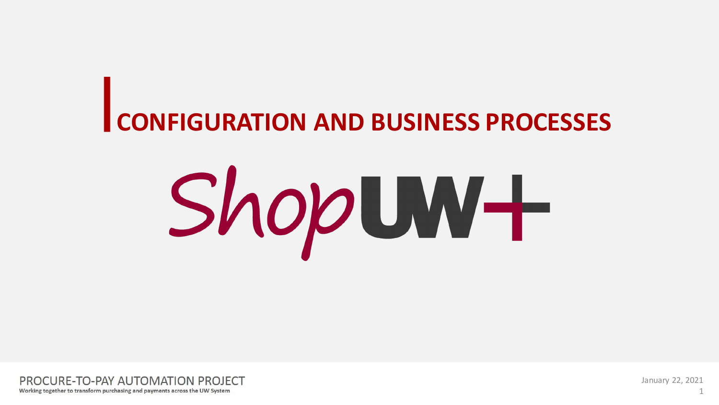# **CONFIGURATION AND BUSINESS PROCESSES**





January 22, 2021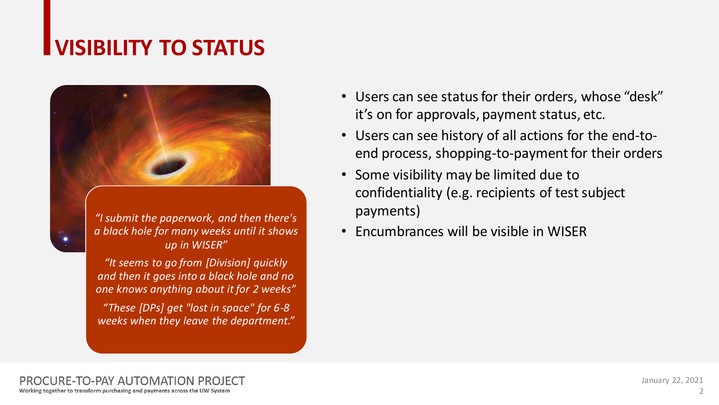## **VISIBILITY TO STATUS**



*"I submit the paperwork, and then there's a black hole for many weeks until it shows up in WISER"*

*"It seems to go from [Division] quickly and then it goes into a black hole and no one knows anything about it for 2 weeks"*

*"These [DPs] get "lost in space" for 6-8 weeks when they leave the department."*

- Users can see status for their orders, whose "desk" it's on for approvals, payment status, etc.
- Users can see history of all actions for the end-toend process, shopping-to-payment for their orders
- Some visibility may be limited due to confidentiality (e.g. recipients of test subject payments)
- Encumbrances will be visible in WISER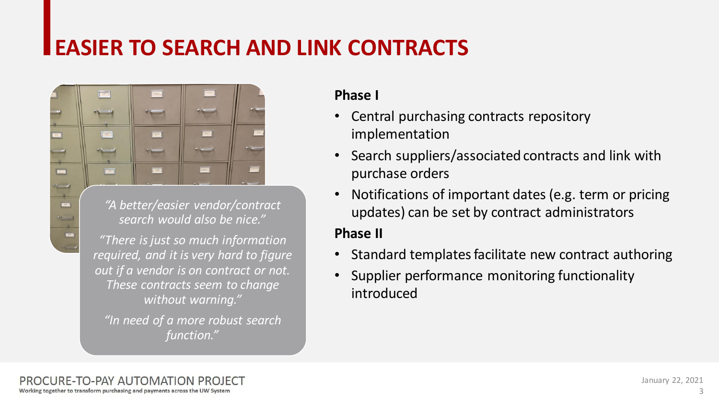## **EASIER TO SEARCH AND LINK CONTRACTS**



*"A better/easier vendor/contract search would also be nice."*

*"There is just so much information required, and it is very hard to figure out if a vendor is on contract or not. These contracts seem to change without warning."*

*"In need of a more robust search function."*

#### **Phase I**

- Central purchasing contracts repository implementation
- Search suppliers/associated contracts and link with purchase orders
- Notifications of important dates (e.g. term or pricing updates) can be set by contract administrators

#### **Phase II**

- Standard templates facilitate new contract authoring
- Supplier performance monitoring functionality introduced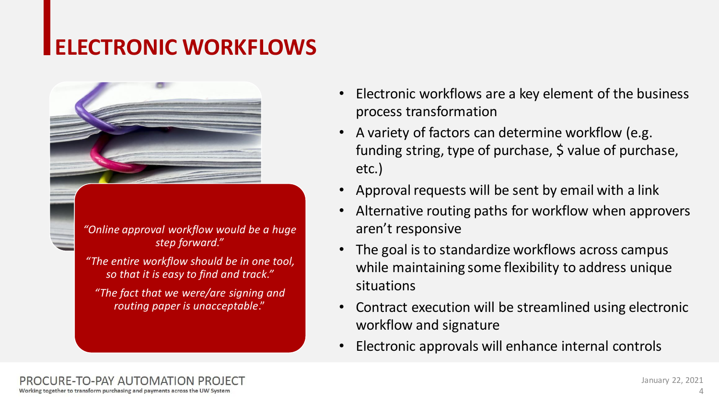## **ELECTRONIC WORKFLOWS**



*"Online approval workflow would be a huge step forward."*

*"The entire workflow should be in one tool, so that it is easy to find and track."*

*"The fact that we were/are signing and routing paper is unacceptable*."

- Electronic workflows are a key element of the business process transformation
- A variety of factors can determine workflow (e.g. funding string, type of purchase, \$ value of purchase, etc.)
- Approval requests will be sent by email with a link
- Alternative routing paths for workflow when approvers aren't responsive
- The goal is to standardize workflows across campus while maintaining some flexibility to address unique situations
- Contract execution will be streamlined using electronic workflow and signature
- Electronic approvals will enhance internal controls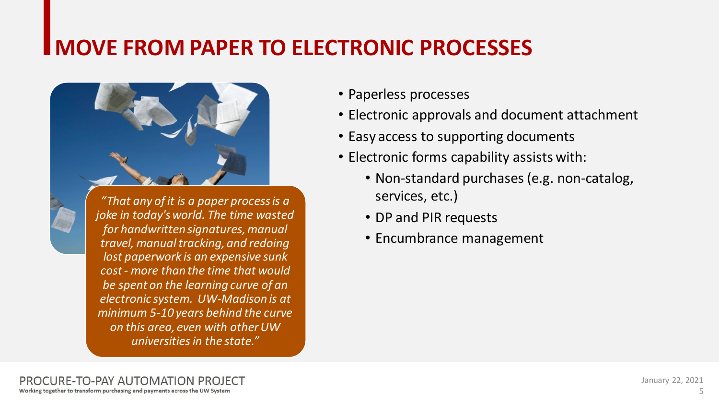## **MOVE FROM PAPER TO ELECTRONIC PROCESSES**



*"That any of it is a paper process is a joke in today's world. The time wasted for handwritten signatures, manual travel, manual tracking, and redoing lost paperwork is an expensive sunk cost - more than the time that would be spent on the learning curve of an electronic system. UW-Madison is at minimum 5-10 years behind the curve on this area, even with other UW universities in the state."*

- Paperless processes
- Electronic approvals and document attachment
- Easy access to supporting documents
- Electronic forms capability assists with:
	- Non-standard purchases (e.g. non-catalog, services, etc.)
	- DP and PIR requests
	- Encumbrance management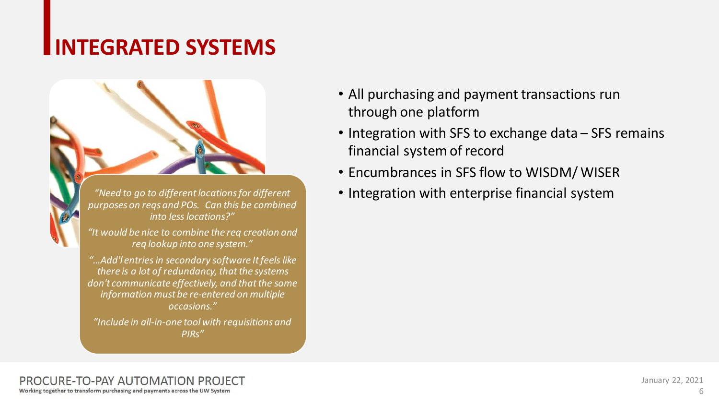## **INTEGRATED SYSTEMS**



*"Include in all-in-one tool with requisitions and PIRs"*

- All purchasing and payment transactions run through one platform
- Integration with SFS to exchange data SFS remains financial system of record
- Encumbrances in SFS flow to WISDM/ WISER
- Integration with enterprise financial system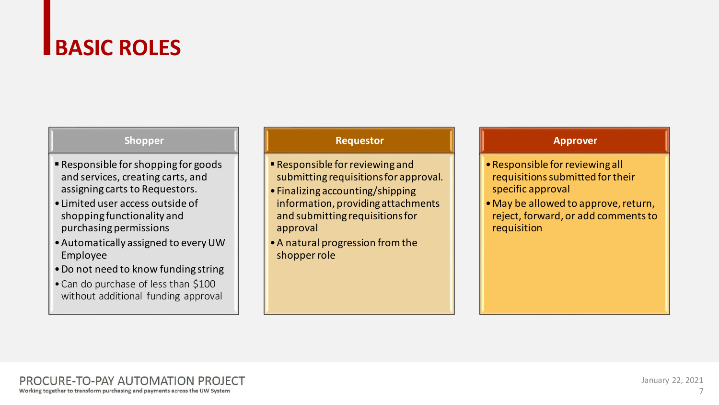## **BASIC ROLES**

#### **Shopper**

- Responsible for shopping for goods and services, creating carts, and assigning carts to Requestors.
- •Limited user access outside of shopping functionality and purchasing permissions
- •Automatically assigned to every UW Employee
- •Do not need to know funding string
- •Can do purchase of less than \$100 without additional funding approval

#### **Requestor**

- Responsible for reviewing and submitting requisitions for approval.
- •Finalizing accounting/shipping information, providing attachments and submitting requisitions for approval
- •A natural progression from the shopper role

#### **Approver**

- •Responsible for reviewing all requisitions submitted for their specific approval
- •May be allowed to approve, return, reject, forward, or add comments to requisition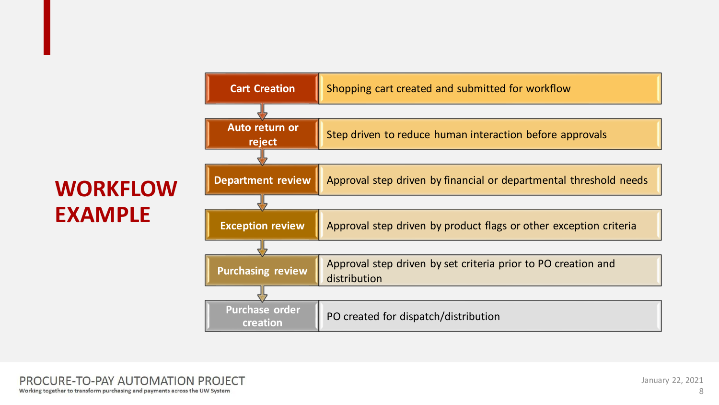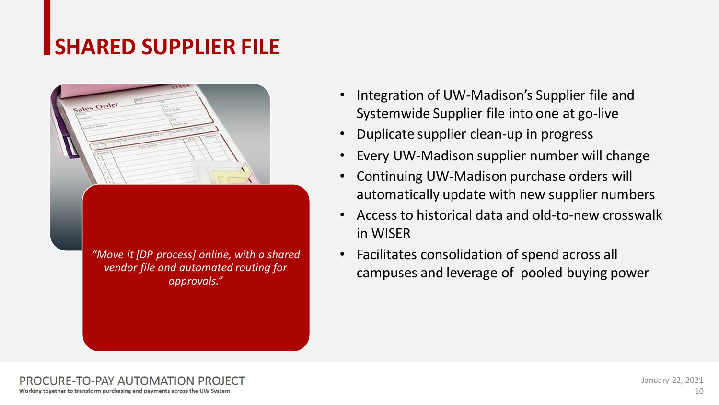## **SHARED SUPPLIER FILE**

sales Order *"Move it [DP process] online, with a shared vendor file and automated routing for approvals."*

- Integration of UW-Madison's Supplier file and Systemwide Supplier file into one at go-live
- Duplicate supplier clean-up in progress
- Every UW-Madison supplier number will change
- Continuing UW-Madison purchase orders will automatically update with new supplier numbers
- Access to historical data and old-to-new crosswalk in WISER
- Facilitates consolidation of spend across all campuses and leverage of pooled buying power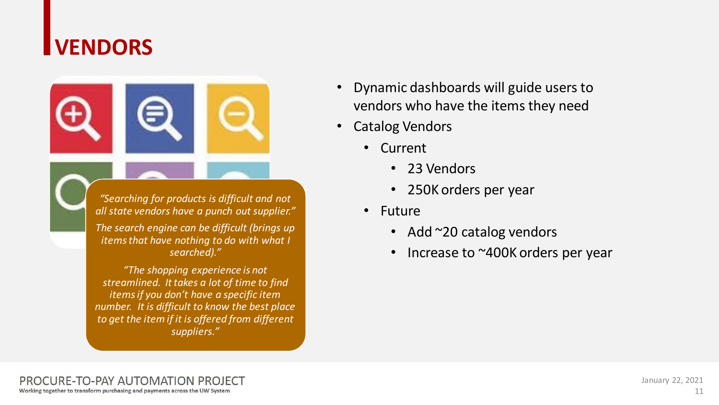## **VENDORS**



*"Searching for products is difficult and not all state vendors have a punch out supplier."*

*The search engine can be difficult (brings up items that have nothing to do with what I searched)."*

*"The shopping experience is not streamlined. It takes a lot of time to find items if you don't have a specific item number. It is difficult to know the best place to get the item if it is offered from different suppliers."*

- Dynamic dashboards will guide users to vendors who have the items they need
- **Catalog Vendors** 
	- Current
		- 23 Vendors
		- 250K orders per year
	- Future
		- Add ~20 catalog vendors
		- Increase to ~400K orders per year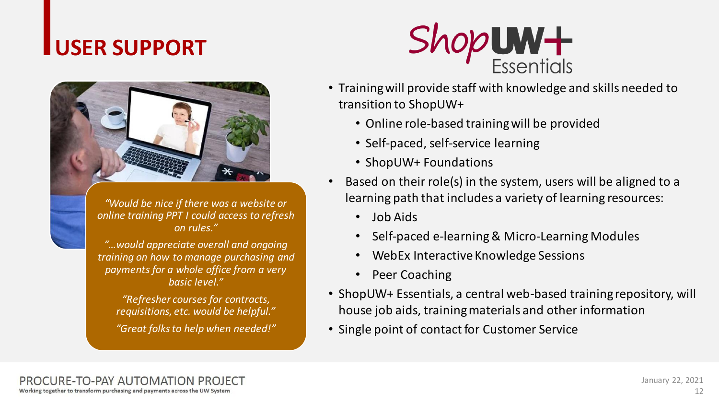## **USER SUPPORT**



*"Would be nice if there was a website or online training PPT I could access to refresh on rules."*

*"…would appreciate overall and ongoing training on how to manage purchasing and payments for a whole office from a very basic level."*

*"Refresher courses for contracts, requisitions, etc. would be helpful." "Great folks to help when needed!"*



- Training will provide staff with knowledge and skills needed to transition to ShopUW+
	- Online role-based training will be provided
	- Self-paced, self-service learning
	- ShopUW+ Foundations
- Based on their role(s) in the system, users will be aligned to a learning path that includes a variety of learning resources:
	- Job Aids
	- Self-paced e-learning & Micro-Learning Modules
	- WebEx Interactive Knowledge Sessions
	- Peer Coaching
- ShopUW+ Essentials, a central web-based training repository, will house job aids, training materials and other information
- Single point of contact for Customer Service